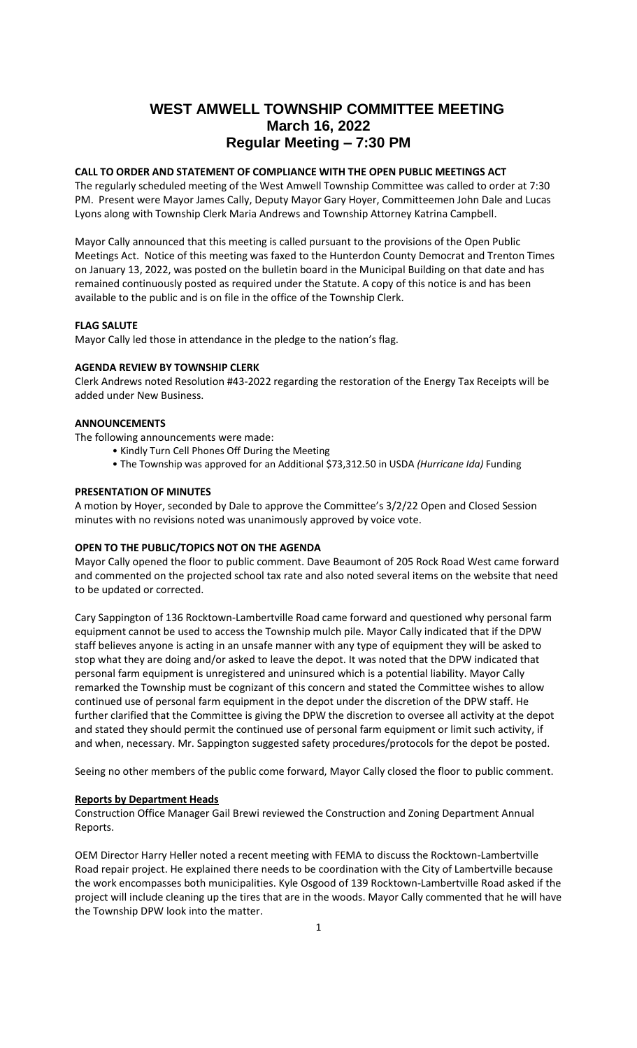# **WEST AMWELL TOWNSHIP COMMITTEE MEETING March 16, 2022 Regular Meeting – 7:30 PM**

# **CALL TO ORDER AND STATEMENT OF COMPLIANCE WITH THE OPEN PUBLIC MEETINGS ACT**

The regularly scheduled meeting of the West Amwell Township Committee was called to order at 7:30 PM. Present were Mayor James Cally, Deputy Mayor Gary Hoyer, Committeemen John Dale and Lucas Lyons along with Township Clerk Maria Andrews and Township Attorney Katrina Campbell.

Mayor Cally announced that this meeting is called pursuant to the provisions of the Open Public Meetings Act. Notice of this meeting was faxed to the Hunterdon County Democrat and Trenton Times on January 13, 2022, was posted on the bulletin board in the Municipal Building on that date and has remained continuously posted as required under the Statute. A copy of this notice is and has been available to the public and is on file in the office of the Township Clerk.

## **FLAG SALUTE**

Mayor Cally led those in attendance in the pledge to the nation's flag.

# **AGENDA REVIEW BY TOWNSHIP CLERK**

Clerk Andrews noted Resolution #43-2022 regarding the restoration of the Energy Tax Receipts will be added under New Business.

# **ANNOUNCEMENTS**

The following announcements were made:

- Kindly Turn Cell Phones Off During the Meeting
- The Township was approved for an Additional \$73,312.50 in USDA *(Hurricane Ida)* Funding

# **PRESENTATION OF MINUTES**

A motion by Hoyer, seconded by Dale to approve the Committee's 3/2/22 Open and Closed Session minutes with no revisions noted was unanimously approved by voice vote.

### **OPEN TO THE PUBLIC/TOPICS NOT ON THE AGENDA**

Mayor Cally opened the floor to public comment. Dave Beaumont of 205 Rock Road West came forward and commented on the projected school tax rate and also noted several items on the website that need to be updated or corrected.

Cary Sappington of 136 Rocktown-Lambertville Road came forward and questioned why personal farm equipment cannot be used to access the Township mulch pile. Mayor Cally indicated that if the DPW staff believes anyone is acting in an unsafe manner with any type of equipment they will be asked to stop what they are doing and/or asked to leave the depot. It was noted that the DPW indicated that personal farm equipment is unregistered and uninsured which is a potential liability. Mayor Cally remarked the Township must be cognizant of this concern and stated the Committee wishes to allow continued use of personal farm equipment in the depot under the discretion of the DPW staff. He further clarified that the Committee is giving the DPW the discretion to oversee all activity at the depot and stated they should permit the continued use of personal farm equipment or limit such activity, if and when, necessary. Mr. Sappington suggested safety procedures/protocols for the depot be posted.

Seeing no other members of the public come forward, Mayor Cally closed the floor to public comment.

#### **Reports by Department Heads**

Construction Office Manager Gail Brewi reviewed the Construction and Zoning Department Annual Reports.

OEM Director Harry Heller noted a recent meeting with FEMA to discuss the Rocktown-Lambertville Road repair project. He explained there needs to be coordination with the City of Lambertville because the work encompasses both municipalities. Kyle Osgood of 139 Rocktown-Lambertville Road asked if the project will include cleaning up the tires that are in the woods. Mayor Cally commented that he will have the Township DPW look into the matter.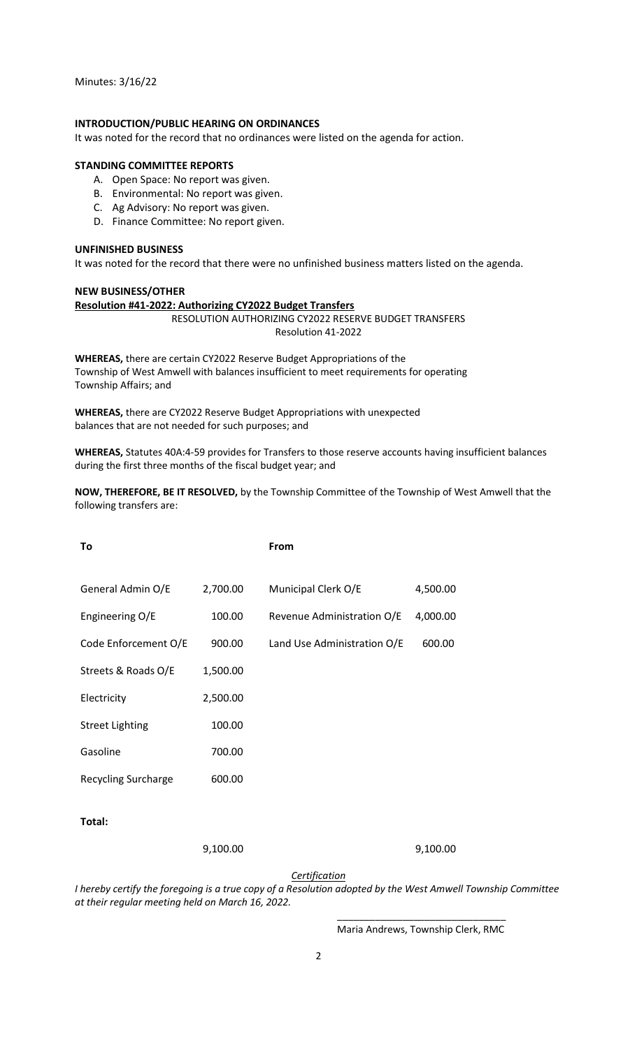Minutes: 3/16/22

# **INTRODUCTION/PUBLIC HEARING ON ORDINANCES**

It was noted for the record that no ordinances were listed on the agenda for action.

# **STANDING COMMITTEE REPORTS**

- A. Open Space: No report was given.
- B. Environmental: No report was given.
- C. Ag Advisory: No report was given.
- D. Finance Committee: No report given.

# **UNFINISHED BUSINESS**

It was noted for the record that there were no unfinished business matters listed on the agenda.

# **NEW BUSINESS/OTHER**

```
Resolution #41-2022: Authorizing CY2022 Budget Transfers
```
RESOLUTION AUTHORIZING CY2022 RESERVE BUDGET TRANSFERS Resolution 41-2022

**WHEREAS,** there are certain CY2022 Reserve Budget Appropriations of the Township of West Amwell with balances insufficient to meet requirements for operating Township Affairs; and

**WHEREAS,** there are CY2022 Reserve Budget Appropriations with unexpected balances that are not needed for such purposes; and

**WHEREAS,** Statutes 40A:4-59 provides for Transfers to those reserve accounts having insufficient balances during the first three months of the fiscal budget year; and

**NOW, THEREFORE, BE IT RESOLVED,** by the Township Committee of the Township of West Amwell that the following transfers are:

| To                         |          | From                        |          |
|----------------------------|----------|-----------------------------|----------|
|                            |          |                             |          |
| General Admin O/E          | 2,700.00 | Municipal Clerk O/E         | 4,500.00 |
| Engineering O/E            | 100.00   | Revenue Administration O/E  | 4,000.00 |
| Code Enforcement O/E       | 900.00   | Land Use Administration O/E | 600.00   |
| Streets & Roads O/E        | 1,500.00 |                             |          |
| Electricity                | 2,500.00 |                             |          |
| <b>Street Lighting</b>     | 100.00   |                             |          |
| Gasoline                   | 700.00   |                             |          |
| <b>Recycling Surcharge</b> | 600.00   |                             |          |
|                            |          |                             |          |
| Total:                     |          |                             |          |

9,100.00 9,100.00

*Certification*

*I hereby certify the foregoing is a true copy of a Resolution adopted by the West Amwell Township Committee at their regular meeting held on March 16, 2022.*

> \_\_\_\_\_\_\_\_\_\_\_\_\_\_\_\_\_\_\_\_\_\_\_\_\_\_\_\_\_\_\_ Maria Andrews, Township Clerk, RMC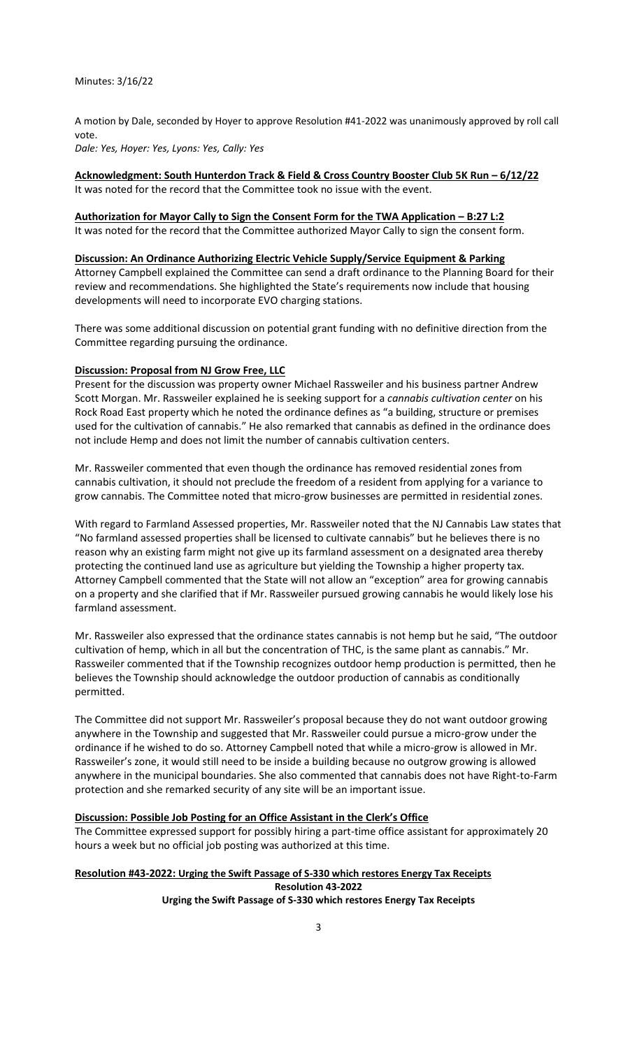A motion by Dale, seconded by Hoyer to approve Resolution #41-2022 was unanimously approved by roll call vote.

*Dale: Yes, Hoyer: Yes, Lyons: Yes, Cally: Yes*

**Acknowledgment: South Hunterdon Track & Field & Cross Country Booster Club 5K Run – 6/12/22** It was noted for the record that the Committee took no issue with the event.

**Authorization for Mayor Cally to Sign the Consent Form for the TWA Application – B:27 L:2** It was noted for the record that the Committee authorized Mayor Cally to sign the consent form.

# **Discussion: An Ordinance Authorizing Electric Vehicle Supply/Service Equipment & Parking**

Attorney Campbell explained the Committee can send a draft ordinance to the Planning Board for their review and recommendations. She highlighted the State's requirements now include that housing developments will need to incorporate EVO charging stations.

There was some additional discussion on potential grant funding with no definitive direction from the Committee regarding pursuing the ordinance.

#### **Discussion: Proposal from NJ Grow Free, LLC**

Present for the discussion was property owner Michael Rassweiler and his business partner Andrew Scott Morgan. Mr. Rassweiler explained he is seeking support for a *cannabis cultivation center* on his Rock Road East property which he noted the ordinance defines as "a building, structure or premises used for the cultivation of cannabis." He also remarked that cannabis as defined in the ordinance does not include Hemp and does not limit the number of cannabis cultivation centers.

Mr. Rassweiler commented that even though the ordinance has removed residential zones from cannabis cultivation, it should not preclude the freedom of a resident from applying for a variance to grow cannabis. The Committee noted that micro-grow businesses are permitted in residential zones.

With regard to Farmland Assessed properties, Mr. Rassweiler noted that the NJ Cannabis Law states that "No farmland assessed properties shall be licensed to cultivate cannabis" but he believes there is no reason why an existing farm might not give up its farmland assessment on a designated area thereby protecting the continued land use as agriculture but yielding the Township a higher property tax. Attorney Campbell commented that the State will not allow an "exception" area for growing cannabis on a property and she clarified that if Mr. Rassweiler pursued growing cannabis he would likely lose his farmland assessment.

Mr. Rassweiler also expressed that the ordinance states cannabis is not hemp but he said, "The outdoor cultivation of hemp, which in all but the concentration of THC, is the same plant as cannabis." Mr. Rassweiler commented that if the Township recognizes outdoor hemp production is permitted, then he believes the Township should acknowledge the outdoor production of cannabis as conditionally permitted.

The Committee did not support Mr. Rassweiler's proposal because they do not want outdoor growing anywhere in the Township and suggested that Mr. Rassweiler could pursue a micro-grow under the ordinance if he wished to do so. Attorney Campbell noted that while a micro-grow is allowed in Mr. Rassweiler's zone, it would still need to be inside a building because no outgrow growing is allowed anywhere in the municipal boundaries. She also commented that cannabis does not have Right-to-Farm protection and she remarked security of any site will be an important issue.

## **Discussion: Possible Job Posting for an Office Assistant in the Clerk's Office**

The Committee expressed support for possibly hiring a part-time office assistant for approximately 20 hours a week but no official job posting was authorized at this time.

# **Resolution #43-2022: Urging the Swift Passage of S-330 which restores Energy Tax Receipts Resolution 43-2022 Urging the Swift Passage of S-330 which restores Energy Tax Receipts**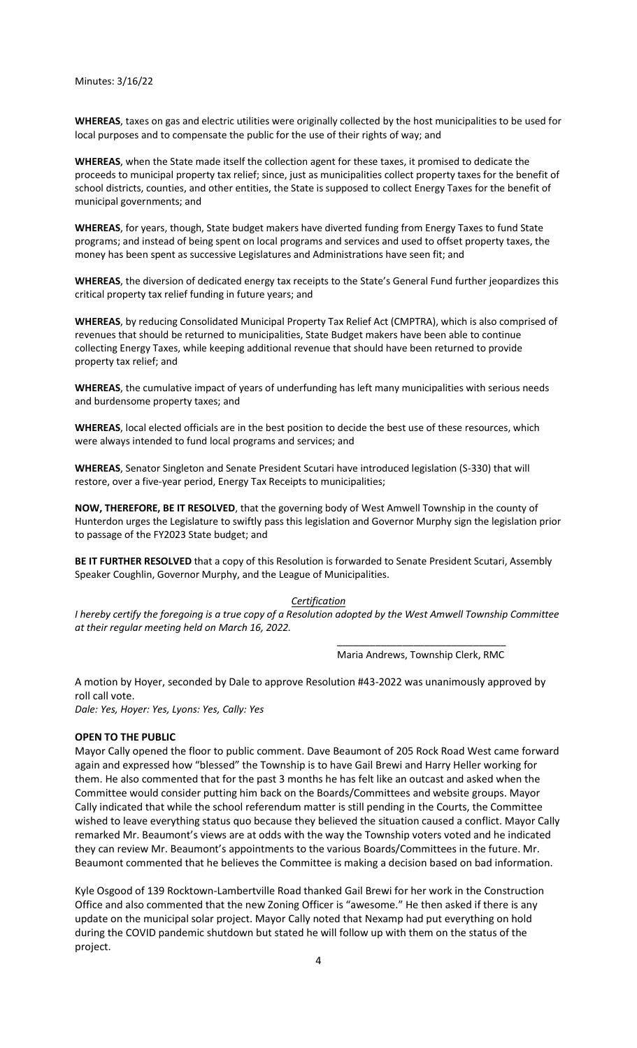Minutes: 3/16/22

**WHEREAS**, taxes on gas and electric utilities were originally collected by the host municipalities to be used for local purposes and to compensate the public for the use of their rights of way; and

**WHEREAS**, when the State made itself the collection agent for these taxes, it promised to dedicate the proceeds to municipal property tax relief; since, just as municipalities collect property taxes for the benefit of school districts, counties, and other entities, the State is supposed to collect Energy Taxes for the benefit of municipal governments; and

**WHEREAS**, for years, though, State budget makers have diverted funding from Energy Taxes to fund State programs; and instead of being spent on local programs and services and used to offset property taxes, the money has been spent as successive Legislatures and Administrations have seen fit; and

**WHEREAS**, the diversion of dedicated energy tax receipts to the State's General Fund further jeopardizes this critical property tax relief funding in future years; and

**WHEREAS**, by reducing Consolidated Municipal Property Tax Relief Act (CMPTRA), which is also comprised of revenues that should be returned to municipalities, State Budget makers have been able to continue collecting Energy Taxes, while keeping additional revenue that should have been returned to provide property tax relief; and

**WHEREAS**, the cumulative impact of years of underfunding has left many municipalities with serious needs and burdensome property taxes; and

**WHEREAS**, local elected officials are in the best position to decide the best use of these resources, which were always intended to fund local programs and services; and

**WHEREAS**, Senator Singleton and Senate President Scutari have introduced legislation (S-330) that will restore, over a five-year period, Energy Tax Receipts to municipalities;

**NOW, THEREFORE, BE IT RESOLVED**, that the governing body of West Amwell Township in the county of Hunterdon urges the Legislature to swiftly pass this legislation and Governor Murphy sign the legislation prior to passage of the FY2023 State budget; and

**BE IT FURTHER RESOLVED** that a copy of this Resolution is forwarded to Senate President Scutari, Assembly Speaker Coughlin, Governor Murphy, and the League of Municipalities.

# *Certification*

*I hereby certify the foregoing is a true copy of a Resolution adopted by the West Amwell Township Committee at their regular meeting held on March 16, 2022.*

> \_\_\_\_\_\_\_\_\_\_\_\_\_\_\_\_\_\_\_\_\_\_\_\_\_\_\_\_\_\_\_ Maria Andrews, Township Clerk, RMC

A motion by Hoyer, seconded by Dale to approve Resolution #43-2022 was unanimously approved by roll call vote.

*Dale: Yes, Hoyer: Yes, Lyons: Yes, Cally: Yes*

# **OPEN TO THE PUBLIC**

Mayor Cally opened the floor to public comment. Dave Beaumont of 205 Rock Road West came forward again and expressed how "blessed" the Township is to have Gail Brewi and Harry Heller working for them. He also commented that for the past 3 months he has felt like an outcast and asked when the Committee would consider putting him back on the Boards/Committees and website groups. Mayor Cally indicated that while the school referendum matter is still pending in the Courts, the Committee wished to leave everything status quo because they believed the situation caused a conflict. Mayor Cally remarked Mr. Beaumont's views are at odds with the way the Township voters voted and he indicated they can review Mr. Beaumont's appointments to the various Boards/Committees in the future. Mr. Beaumont commented that he believes the Committee is making a decision based on bad information.

Kyle Osgood of 139 Rocktown-Lambertville Road thanked Gail Brewi for her work in the Construction Office and also commented that the new Zoning Officer is "awesome." He then asked if there is any update on the municipal solar project. Mayor Cally noted that Nexamp had put everything on hold during the COVID pandemic shutdown but stated he will follow up with them on the status of the project.